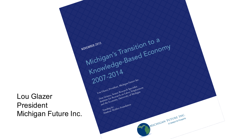Lou Glazer President Michigan Future Inc.

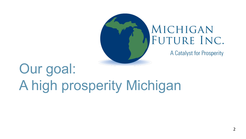

## MICHIGAN FUTURE INC.

A Catalyst for Prosperity

# Our goal: A high prosperity Michigan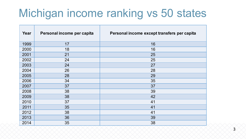## Michigan income ranking vs 50 states

| Year | Personal income per capita | Personal income except transfers per capita |
|------|----------------------------|---------------------------------------------|
| 1999 | 17                         | 16                                          |
| 2000 | 18                         | 16                                          |
| 2001 | 21                         | 25                                          |
| 2002 | 24                         | 25                                          |
| 2003 | 24                         | 27                                          |
| 2004 | 26                         | 28                                          |
| 2005 | 28                         | 29                                          |
| 2006 | 34                         | 35                                          |
| 2007 | 37                         | 37                                          |
| 2008 | 38                         | 39                                          |
| 2009 | 38                         | 42                                          |
| 2010 | 37                         | 41                                          |
| 2011 | 35                         | 41                                          |
| 2012 | 38                         | 41                                          |
| 2013 | 36                         | 39                                          |
| 2014 | 35                         | 38                                          |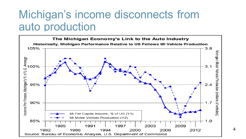## Michigan's income disconnects from auto production

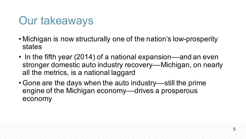## Our takeaways

- Michigan is now structurally one of the nation's low-prosperity states
- In the fifth year (2014) of a national expansion—and an even stronger domestic auto industry recovery—Michigan, on nearly all the metrics, is a national laggard
- Gone are the days when the auto industry—still the prime engine of the Michigan economy—drives a prosperous economy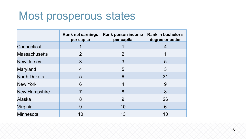## Most prosperous states

|                      | <b>Rank net earnings</b><br>per capita | <b>Rank person income</b><br>per capita | Rank in bachelor's<br>degree or better |
|----------------------|----------------------------------------|-----------------------------------------|----------------------------------------|
| Connecticut          |                                        |                                         | $\overline{4}$                         |
| <b>Massachusetts</b> | 2                                      | $\overline{2}$                          |                                        |
| <b>New Jersey</b>    | 3                                      | 3                                       | 5                                      |
| Maryland             | 4                                      | 5                                       | 3                                      |
| North Dakota         | 5                                      | 6                                       | 31                                     |
| New York             | 6                                      | $\overline{4}$                          | 9                                      |
| <b>New Hampshire</b> |                                        | 8                                       | 8                                      |
| Alaska               | 8                                      | 9                                       | 26                                     |
| Virginia             | 9                                      | 10                                      | 6                                      |
| Minnesota            | 10                                     | 13                                      | 10                                     |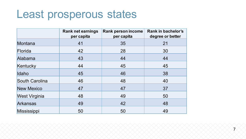## Least prosperous states

|                       | <b>Rank net earnings</b><br>per capita | <b>Rank person income</b><br>per capita | <b>Rank in bachelor's</b><br>degree or better |
|-----------------------|----------------------------------------|-----------------------------------------|-----------------------------------------------|
| Montana               | 41                                     | 35                                      | 21                                            |
| Florida               | 42                                     | 28                                      | 30                                            |
| Alabama               | 43                                     | 44                                      | 44                                            |
| Kentucky              | 44                                     | 45                                      | 45                                            |
| Idaho                 | 45                                     | 46                                      | 38                                            |
| <b>South Carolina</b> | 46                                     | 48                                      | 40                                            |
| <b>New Mexico</b>     | 47                                     | 47                                      | 37                                            |
| <b>West Virginia</b>  | 48                                     | 49                                      | 50                                            |
| <b>Arkansas</b>       | 49                                     | 42                                      | 48                                            |
| Mississippi           | 50                                     | 50                                      | 49                                            |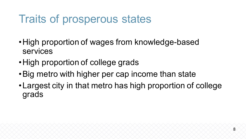## Traits of prosperous states

- •High proportion of wages from knowledge-based services
- High proportion of college grads
- •Big metro with higher per cap income than state
- •Largest city in that metro has high proportion of college grads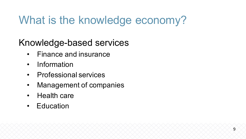## What is the knowledge economy?

Knowledge-based services

- Finance and insurance
- Information
- Professional services
- Management of companies
- Health care
- Education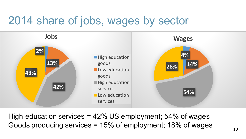## 2014 share of jobs, wages by sector



High education services = 42% US employment; 54% of wages Goods producing services = 15% of employment; 18% of wages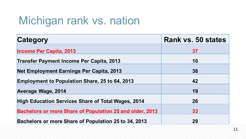## Michigan rank vs. nation

| Category                                                        | <b>Rank vs. 50 states</b> |
|-----------------------------------------------------------------|---------------------------|
| <b>Income Per Capita, 2013</b>                                  | 37                        |
| <b>Transfer Payment Income Per Capita, 2013</b>                 | 10                        |
| <b>Net Employment Earnings Per Capita, 2013</b>                 | 38                        |
| <b>Employment to Population Share, 25 to 64, 2013</b>           | 42                        |
| <b>Average Wage, 2014</b>                                       | 19                        |
| <b>High Education Services Share of Total Wages, 2014</b>       | 26                        |
|                                                                 |                           |
| <b>Bachelors or more Share of Population 25 and older, 2013</b> | 33                        |
| Bachelors or more Share of Population 25 to 34, 2013            | 29                        |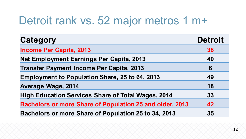## Detroit rank vs. 52 major metros 1 m+

| <b>Category</b>                                                 | <b>Detroit</b> |
|-----------------------------------------------------------------|----------------|
| <b>Income Per Capita, 2013</b>                                  | 38             |
| Net Employment Earnings Per Capita, 2013                        | 40             |
| <b>Transfer Payment Income Per Capita, 2013</b>                 | 6              |
| <b>Employment to Population Share, 25 to 64, 2013</b>           | 49             |
| <b>Average Wage, 2014</b>                                       | 18             |
| <b>High Education Services Share of Total Wages, 2014</b>       | 33             |
| <b>Bachelors or more Share of Population 25 and older, 2013</b> | 42             |
| Bachelors or more Share of Population 25 to 34, 2013            | 35             |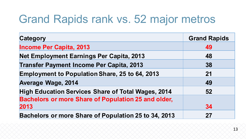## Grand Rapids rank vs. 52 major metros

| <b>Category</b>                                            | <b>Grand Rapids</b> |
|------------------------------------------------------------|---------------------|
| <b>Income Per Capita, 2013</b>                             | 49                  |
| Net Employment Earnings Per Capita, 2013                   | 48                  |
| <b>Transfer Payment Income Per Capita, 2013</b>            | 38                  |
| <b>Employment to Population Share, 25 to 64, 2013</b>      | 21                  |
| <b>Average Wage, 2014</b>                                  | 49                  |
| <b>High Education Services Share of Total Wages, 2014</b>  | 52                  |
| <b>Bachelors or more Share of Population 25 and older,</b> |                     |
| 2013                                                       | 34                  |
| Bachelors or more Share of Population 25 to 34, 2013       | 27                  |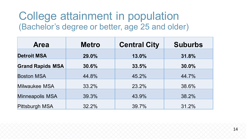#### College attainment in population (Bachelor's degree or better, age 25 and older)

| <b>Area</b>             | <b>Metro</b> | <b>Central City</b> | <b>Suburbs</b> |
|-------------------------|--------------|---------------------|----------------|
| <b>Detroit MSA</b>      | 29.0%        | 13.0%               | 31.8%          |
| <b>Grand Rapids MSA</b> | 30.6%        | 33.5%               | 30.0%          |
| <b>Boston MSA</b>       | 44.8%        | 45.2%               | 44.7%          |
| Milwaukee MSA           | 33.2%        | 23.2%               | 38.6%          |
| Minneapolis MSA         | 39.3%        | 43.9%               | 38.2%          |
| <b>Pittsburgh MSA</b>   | 32.2%        | 39.7%               | 31.2%          |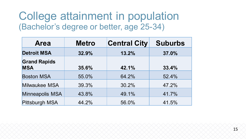#### College attainment in population (Bachelor's degree or better, age 25-34)

| <b>Area</b>                       | <b>Metro</b> | <b>Central City</b> | <b>Suburbs</b> |
|-----------------------------------|--------------|---------------------|----------------|
| <b>Detroit MSA</b>                | 32.9%        | 13.2%               | 37.0%          |
| <b>Grand Rapids</b><br><b>MSA</b> | 35.6%        | 42.1%               | 33.4%          |
| <b>Boston MSA</b>                 | 55.0%        | 64.2%               | 52.4%          |
| Milwaukee MSA                     | 39.3%        | 30.2%               | 47.2%          |
| Minneapolis MSA                   | 43.8%        | 49.1%               | 41.7%          |
| Pittsburgh MSA                    | 44.2%        | 56.0%               | 41.5%          |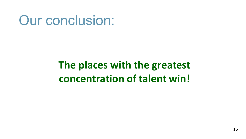## Our conclusion:

## **The places with the greatest concentration of talent win!**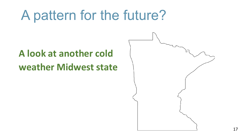## A pattern for the future?

## **A** look at another cold **weather Midwest state**

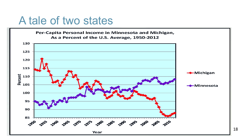### A tale of two states

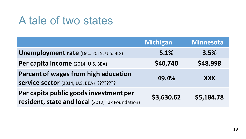## A tale of two states

|                                                                                            | <b>Michigan</b> | <b>Minnesota</b> |
|--------------------------------------------------------------------------------------------|-----------------|------------------|
| <b>Unemployment rate</b> (Dec. 2015, U.S. BLS)                                             | 5.1%            | 3.5%             |
| Per capita income (2014, U.S. BEA)                                                         | \$40,740        | \$48,998         |
| Percent of wages from high education<br><b>Service sector</b> (2014, U.S. BEA) ????????    | 49.4%           | <b>XXX</b>       |
| Per capita public goods investment per<br>resident, state and local (2012; Tax Foundation) | \$3,630.62      | \$5,184.78       |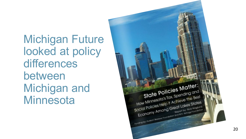Michigan Future looked at policy differences between Michigan and **Minnesota** 

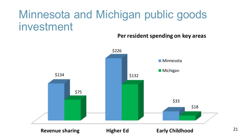## Minnesota and Michigan public goods investment

#### Per resident spending on key areas

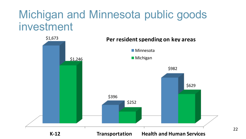## Michigan and Minnesota public goods investment



22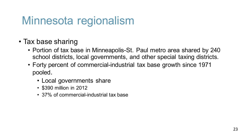## Minnesota regionalism

- Tax base sharing
	- Portion of tax base in Minneapolis-St. Paul metro area shared by 240 school districts, local governments, and other special taxing districts.
	- Forty percent of commercial-industrial tax base growth since 1971 pooled.
		- Local governments share
		- \$390 million in 2012
		- 37% of commercial-industrial tax base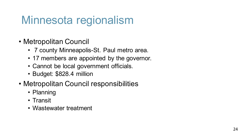## Minnesota regionalism

- Metropolitan Council
	- 7 county Minneapolis-St. Paul metro area.
	- 17 members are appointed by the governor.
	- Cannot be local government officials.
	- Budget: \$828.4 million
- Metropolitan Council responsibilities
	- Planning
	- Transit
	- Wastewater treatment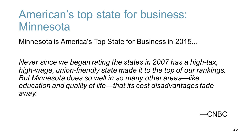## American's top state for business: **Minnesota**

Minnesota is America's Top State for Business in 2015...

*Never since we began rating the states in 2007 has a high-tax, high-wage, union-friendly state made it to the top of our rankings. But Minnesota does so well in so many other areas—like education and quality of life—that its cost disadvantages fade away.*

—CNBC